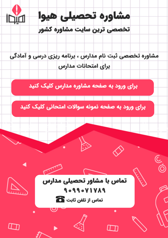

مشاوره تخصصی ثبت نام مدارس ، برنامه ریزی درسی و آمادگی براى امتحانات مدارس

برای ورود به صفحه مشاوره مدارس کلیک کنید

برای ورود به صفحه نمونه سوالات امتحانی کلیک کنید



90990VIVA9 تماس از تلفن ثابت ها

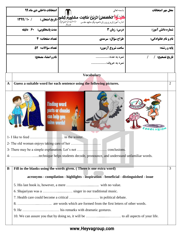|                                                                                    | امتحانات داخلی دی ماه ۹۹                                                                                                                                  | باسمه تعالى                                                                              | محل مهر امتحانات           |  |  |  |
|------------------------------------------------------------------------------------|-----------------------------------------------------------------------------------------------------------------------------------------------------------|------------------------------------------------------------------------------------------|----------------------------|--|--|--|
|                                                                                    | 1199/1.7                                                                                                                                                  | دبیر سستستان ویزدونتی مهت به مصلی نژاد<br>اداره آموزش <i>و پرور</i> ش ناحیه یک مشهد مقدس |                            |  |  |  |
| مدت پاسخگویی: ۶۰ دقیقه                                                             |                                                                                                                                                           | درس: زبان 3                                                                              | شماره دانش آموز:           |  |  |  |
|                                                                                    | تعداد صفحات: 4                                                                                                                                            | طراح سؤال: سرمدي                                                                         | <b>نام و نام خانوادگي:</b> |  |  |  |
|                                                                                    | تعداد سؤالات: ٥٢                                                                                                                                          | ساعت شروع آزمون:                                                                         | <b>یایه و رشته:</b>        |  |  |  |
| نام و امضاء مصحح:<br>نمره به عدد:<br>تاريخ تصحيح: /<br>$\sqrt{2}$<br>نمره به حروف: |                                                                                                                                                           |                                                                                          |                            |  |  |  |
|                                                                                    |                                                                                                                                                           | <b>Vocabulary</b>                                                                        |                            |  |  |  |
| $\mathbf A$                                                                        | Guess a suitable word for each sentence using the following pictures.                                                                                     |                                                                                          |                            |  |  |  |
|                                                                                    | <b>Finding word</b><br>parts or chunks<br>can help you<br>solve words!<br>4- technique helps students decode, pronounce, and understand unfamiliar words. |                                                                                          |                            |  |  |  |
| B                                                                                  |                                                                                                                                                           | Fill in the blanks using the words given. (There is one extra word)                      | 3                          |  |  |  |
|                                                                                    |                                                                                                                                                           | acronyms - compilation - highlights - inspiration - beneficial - distinguished - issue   |                            |  |  |  |
|                                                                                    |                                                                                                                                                           |                                                                                          |                            |  |  |  |
|                                                                                    |                                                                                                                                                           |                                                                                          |                            |  |  |  |
|                                                                                    |                                                                                                                                                           |                                                                                          |                            |  |  |  |
|                                                                                    |                                                                                                                                                           |                                                                                          |                            |  |  |  |
|                                                                                    |                                                                                                                                                           |                                                                                          |                            |  |  |  |
|                                                                                    |                                                                                                                                                           |                                                                                          |                            |  |  |  |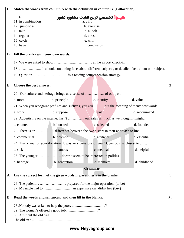| $\mathbf C$ | Match the words from column A with the definition in column B. (Collocation)                   |               |                |               |  | 1.5          |             |
|-------------|------------------------------------------------------------------------------------------------|---------------|----------------|---------------|--|--------------|-------------|
|             | $\mathbf A$                                                                                    |               |                |               |  |              |             |
|             | <b>هیــوا</b> تخصصی ترین هایت مشاوره کشور<br>a. a flu<br>11. in combination                    |               |                |               |  |              |             |
|             | 12. jump to a                                                                                  |               | b. exercise    |               |  |              |             |
|             | 13. take                                                                                       |               | c. a look      |               |  |              |             |
|             | 14. regular                                                                                    |               | d. a rest      |               |  |              |             |
|             | 15. catch                                                                                      |               | e. with        |               |  |              |             |
|             | 16. have<br>f. conclusion                                                                      |               |                |               |  |              |             |
| D           | Fill the blanks with your own words.                                                           |               |                |               |  | 1.5          |             |
|             |                                                                                                |               |                |               |  |              |             |
|             | 18.  is a book containing facts about different subjects, or detailed facts about one subject. |               |                |               |  |              |             |
|             |                                                                                                |               |                |               |  |              |             |
|             |                                                                                                |               |                |               |  |              |             |
| E           | Choose the best answer.                                                                        |               |                |               |  |              | 3           |
|             |                                                                                                |               |                |               |  |              |             |
|             | a. moral                                                                                       | b. principle  |                | c. identity   |  | d. value     |             |
|             | 21. When you recognize prefixes and suffixes, you can  out the meaning of many new words.      |               |                |               |  |              |             |
|             | a. work                                                                                        | b. suppose    |                | c. put        |  | d. recommend |             |
|             |                                                                                                |               |                |               |  |              |             |
|             | a. counted                                                                                     | b. boosted    |                | c. selected   |  | d. founded   |             |
|             |                                                                                                |               |                |               |  |              |             |
|             | a. commercial                                                                                  | b. potential  |                | c. artificial |  | d. essential |             |
|             | 24. Thank you for your donation. It was very generous of you." Generous" is closest to         |               |                |               |  |              |             |
|             | a. sick                                                                                        | b. famous     |                | c. medical    |  | d. helpful   |             |
|             | 25. The younger  doesn't seem to be interested in politics.                                    |               |                |               |  |              |             |
|             | a. heritage                                                                                    | b. generation |                | c. memory     |  | d. childhood |             |
|             |                                                                                                |               | <b>Grammar</b> |               |  |              |             |
| $\mathbf A$ | Use the correct form of the given words in parenthesis in the blanks.                          |               |                |               |  |              | $\mathbf 1$ |
|             |                                                                                                |               |                |               |  |              |             |
|             |                                                                                                |               |                |               |  |              |             |
| B           | Read the words and sentences, and then fill in the blanks.                                     |               |                |               |  |              | 3.5         |
|             |                                                                                                |               |                |               |  |              |             |
|             |                                                                                                |               |                |               |  |              |             |
|             | 29. The woman's offered a good job, ?                                                          |               |                |               |  |              |             |
|             | 30. Amir cut the old tree.                                                                     |               |                |               |  |              |             |
|             |                                                                                                |               |                |               |  |              |             |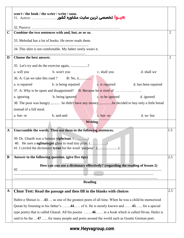|             | won't / the book / the wrier / write / soon.                                                     |     |  |  |  |  |
|-------------|--------------------------------------------------------------------------------------------------|-----|--|--|--|--|
|             | هيـوا تخصصي ترين سايت مشاوره كشور  31. Active:                                                   |     |  |  |  |  |
|             |                                                                                                  |     |  |  |  |  |
| $\mathbf C$ | Combine the two sentences with and, but, or or so.                                               |     |  |  |  |  |
|             | 33. Mehrdad has a lot of books. He never reads them.                                             |     |  |  |  |  |
|             |                                                                                                  |     |  |  |  |  |
|             | 34. This shirt is not comfortable. My father rarely wears it.                                    |     |  |  |  |  |
| D           | Choose the best answer.                                                                          |     |  |  |  |  |
|             | 35. Let's try and do the exercise again, ?                                                       |     |  |  |  |  |
|             | a. will you b. won't you c. shall you<br>d. shall we                                             |     |  |  |  |  |
|             |                                                                                                  |     |  |  |  |  |
|             | a. is repaired b. is being repaired c. is repaired d. has been repaired                          |     |  |  |  |  |
|             |                                                                                                  |     |  |  |  |  |
|             | b. being ignored b. being ignored b. being ignored b. being ignored<br>a. ignoring               |     |  |  |  |  |
|             | 38. The poor was hungry , he didn't have any money ,he decided to buy only a little bread        |     |  |  |  |  |
|             | instead of a full meal.                                                                          |     |  |  |  |  |
|             | c. but-so<br>b. and-and<br>d. so-but<br>a. but- or                                               |     |  |  |  |  |
|             | <b>Writing</b>                                                                                   |     |  |  |  |  |
| $\mathbf A$ | Unscramble the words. Then use them in the following sentences.                                  | 1.5 |  |  |  |  |
|             | 39. Dr. Gharib was a famous <b>yiphcisan</b> . ()                                                |     |  |  |  |  |
|             |                                                                                                  |     |  |  |  |  |
|             | 41. I circled the dictionary tyrne for the word 'purpose'. ()                                    |     |  |  |  |  |
| B           | Answer to the following question. (give five tips)                                               | 2.5 |  |  |  |  |
|             | How can you use a dictionary effectively? (regarding the reading of lesson 2)                    |     |  |  |  |  |
|             | 42                                                                                               |     |  |  |  |  |
|             |                                                                                                  |     |  |  |  |  |
|             | Reading                                                                                          |     |  |  |  |  |
| $\mathbf A$ | Cloze Test: Read the passage and then fill in the blanks with choices                            | 2.5 |  |  |  |  |
|             | Hafez-e Shirazi is 43 as one of the greatest poets of all time. When he was a child he memorized |     |  |  |  |  |
|             | Quran by listening to his father's 44 of it. He is mostly known and 45 for a special             |     |  |  |  |  |
|             | type poetry that is called Ghazal. All his poems 46 in a book which is called Divan. Hafez is    |     |  |  |  |  |
|             | said to be the 47  for many people and poets around the world such as Goutte German poet.        |     |  |  |  |  |

## www.Heyvagroup.com